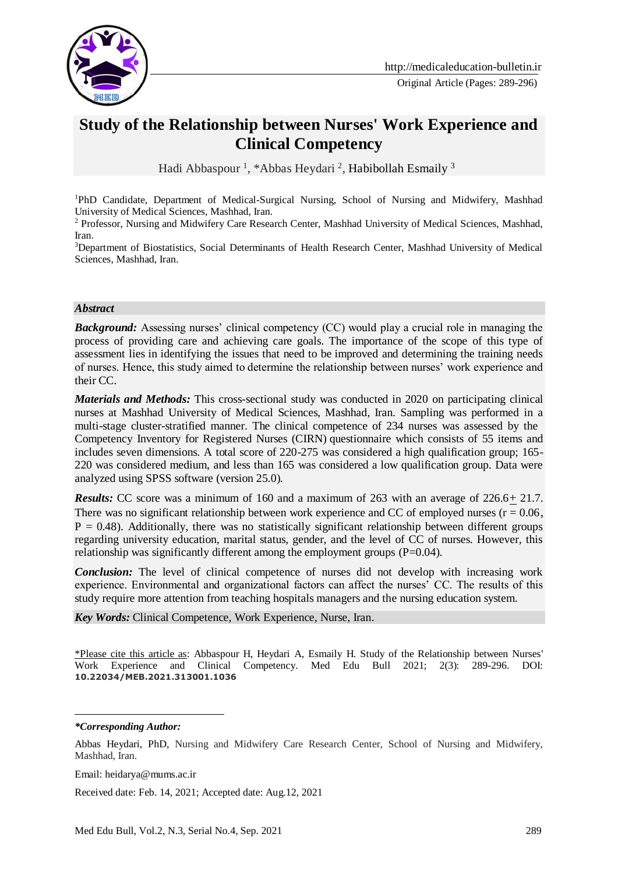

# **Study of the Relationship between Nurses' Work Experience and Clinical Competency**

Hadi Abbaspour<sup>1</sup>, \*Abbas Heydari<sup>2</sup>, Habibollah Esmaily<sup>3</sup>

<sup>1</sup>PhD Candidate, Department of Medical-Surgical Nursing, School of Nursing and Midwifery, Mashhad University of Medical Sciences, Mashhad, Iran.

<sup>2</sup> Professor, Nursing and Midwifery Care Research Center, Mashhad University of Medical Sciences, Mashhad, Iran.

<sup>3</sup>Department of Biostatistics, Social Determinants of Health Research Center, Mashhad University of Medical Sciences, Mashhad, Iran.

#### *Abstract*

**Background:** Assessing nurses' clinical competency (CC) would play a crucial role in managing the process of providing care and achieving care goals. The importance of the scope of this type of assessment lies in identifying the issues that need to be improved and determining the training needs of nurses. Hence, this study aimed to determine the relationship between nurses' work experience and their CC.

*Materials and Methods:* This cross-sectional study was conducted in 2020 on participating clinical nurses at Mashhad University of Medical Sciences, Mashhad, Iran. Sampling was performed in a multi-stage cluster-stratified manner. The clinical competence of 234 nurses was assessed by the Competency Inventory for Registered Nurses (CIRN) questionnaire which consists of 55 items and includes seven dimensions. A total score of 220-275 was considered a high qualification group; 165- 220 was considered medium, and less than 165 was considered a low qualification group. Data were analyzed using SPSS software (version 25.0).

*Results:* CC score was a minimum of 160 and a maximum of 263 with an average of 226.6+ 21.7. There was no significant relationship between work experience and CC of employed nurses  $(r = 0.06,$  $P = 0.48$ ). Additionally, there was no statistically significant relationship between different groups regarding university education, marital status, gender, and the level of CC of nurses. However, this relationship was significantly different among the employment groups (P=0.04).

*Conclusion:* The level of clinical competence of nurses did not develop with increasing work experience. Environmental and organizational factors can affect the nurses' CC. The results of this study require more attention from teaching hospitals managers and the nursing education system.

*Key Words:* Clinical Competence, Work Experience, Nurse, Iran.

\*Please cite this article as: Abbaspour H, Heydari A, Esmaily H. Study of the Relationship between Nurses' Work Experience and Clinical Competency. Med Edu Bull 2021; 2(3): 289-296. DOI: **10.22034/MEB.2021.313001.1036**

*\*Corresponding Author:*

<u>.</u>

Email: heidarya@mums.ac.ir

Received date: Feb. 14, 2021; Accepted date: Aug.12, 2021

Abbas Heydari, PhD, Nursing and Midwifery Care Research Center, School of Nursing and Midwifery, Mashhad, Iran.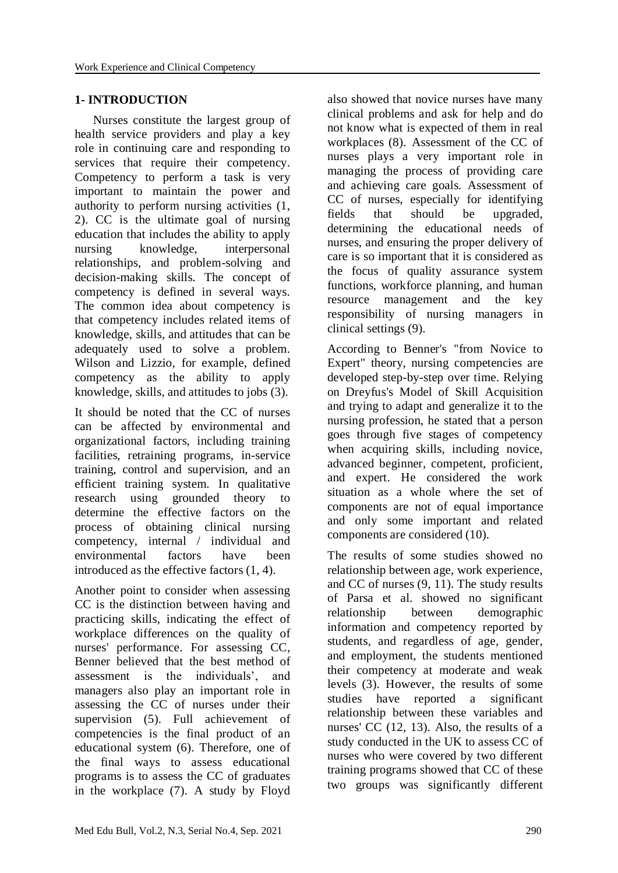## **1- INTRODUCTION**

 Nurses constitute the largest group of health service providers and play a key role in continuing care and responding to services that require their competency. Competency to perform a task is very important to maintain the power and authority to perform nursing activities (1, 2). CC is the ultimate goal of nursing education that includes the ability to apply nursing knowledge, interpersonal relationships, and problem-solving and decision-making skills. The concept of competency is defined in several ways. The common idea about competency is that competency includes related items of knowledge, skills, and attitudes that can be adequately used to solve a problem. Wilson and Lizzio, for example, defined competency as the ability to apply knowledge, skills, and attitudes to jobs (3).

It should be noted that the CC of nurses can be affected by environmental and organizational factors, including training facilities, retraining programs, in-service training, control and supervision, and an efficient training system. In qualitative research using grounded theory to determine the effective factors on the process of obtaining clinical nursing competency, internal / individual and environmental factors have been introduced as the effective factors (1, 4).

Another point to consider when assessing CC is the distinction between having and practicing skills, indicating the effect of workplace differences on the quality of nurses' performance. For assessing CC, Benner believed that the best method of assessment is the individuals', and managers also play an important role in assessing the CC of nurses under their supervision (5). Full achievement of competencies is the final product of an educational system (6). Therefore, one of the final ways to assess educational programs is to assess the CC of graduates in the workplace (7). A study by Floyd

also showed that novice nurses have many clinical problems and ask for help and do not know what is expected of them in real workplaces (8). Assessment of the CC of nurses plays a very important role in managing the process of providing care and achieving care goals. Assessment of CC of nurses, especially for identifying fields that should be upgraded, determining the educational needs of nurses, and ensuring the proper delivery of care is so important that it is considered as the focus of quality assurance system functions, workforce planning, and human resource management and the key responsibility of nursing managers in clinical settings (9).

According to Benner's "from Novice to Expert" theory, nursing competencies are developed step-by-step over time. Relying on Dreyfus's Model of Skill Acquisition and trying to adapt and generalize it to the nursing profession, he stated that a person goes through five stages of competency when acquiring skills, including novice, advanced beginner, competent, proficient, and expert. He considered the work situation as a whole where the set of components are not of equal importance and only some important and related components are considered (10).

The results of some studies showed no relationship between age, work experience, and CC of nurses (9, 11). The study results of Parsa et al. showed no significant relationship between demographic information and competency reported by students, and regardless of age, gender, and employment, the students mentioned their competency at moderate and weak levels (3). However, the results of some studies have reported a significant relationship between these variables and nurses' CC (12, 13). Also, the results of a study conducted in the UK to assess CC of nurses who were covered by two different training programs showed that CC of these two groups was significantly different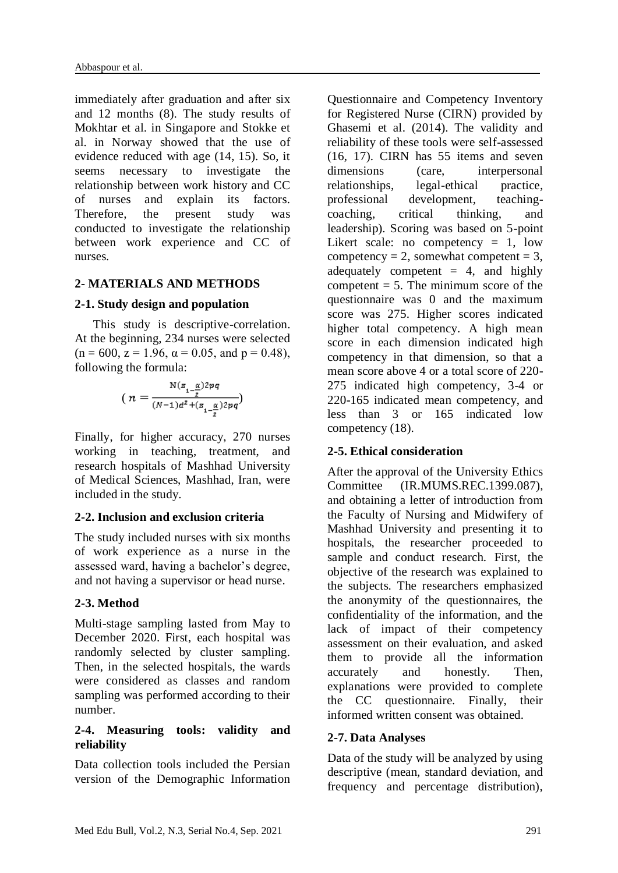immediately after graduation and after six and 12 months (8). The study results of Mokhtar et al. in Singapore and Stokke et al. in Norway showed that the use of evidence reduced with age (14, 15). So, it seems necessary to investigate the relationship between work history and CC of nurses and explain its factors. Therefore, the present study was conducted to investigate the relationship between work experience and CC of nurses.

## **2- MATERIALS AND METHODS**

## **2-1. Study design and population**

 This study is descriptive-correlation. At the beginning, 234 nurses were selected  $(n = 600, z = 1.96, \alpha = 0.05, \text{ and } p = 0.48),$ following the formula:

$$
(\,n=\frac{\mathrm{N}(z_{1-\frac{\alpha}{2}})2pq}{(N-1)d^2+(z_{1-\frac{\alpha}{2}})2pq})
$$

Finally, for higher accuracy, 270 nurses working in teaching, treatment, and research hospitals of Mashhad University of Medical Sciences, Mashhad, Iran, were included in the study.

## **2-2. Inclusion and exclusion criteria**

The study included nurses with six months of work experience as a nurse in the assessed ward, having a bachelor's degree, and not having a supervisor or head nurse.

## **2-3. Method**

Multi-stage sampling lasted from May to December 2020. First, each hospital was randomly selected by cluster sampling. Then, in the selected hospitals, the wards were considered as classes and random sampling was performed according to their number.

## **2-4. Measuring tools: validity and reliability**

Data collection tools included the Persian version of the Demographic Information

Questionnaire and Competency Inventory for Registered Nurse (CIRN) provided by Ghasemi et al. (2014). The validity and reliability of these tools were self-assessed (16, 17). CIRN has 55 items and seven dimensions (care, interpersonal relationships, legal-ethical practice, professional development, teachingcoaching, critical thinking, and leadership). Scoring was based on 5-point Likert scale: no competency  $= 1$ , low competency = 2, somewhat competent =  $3$ , adequately competent  $= 4$ , and highly competent  $= 5$ . The minimum score of the questionnaire was 0 and the maximum score was 275. Higher scores indicated higher total competency. A high mean score in each dimension indicated high competency in that dimension, so that a mean score above 4 or a total score of 220- 275 indicated high competency, 3-4 or 220-165 indicated mean competency, and less than 3 or 165 indicated low competency (18).

## **2-5. Ethical consideration**

After the approval of the University Ethics Committee (IR.MUMS.REC.1399.087), and obtaining a letter of introduction from the Faculty of Nursing and Midwifery of Mashhad University and presenting it to hospitals, the researcher proceeded to sample and conduct research. First, the objective of the research was explained to the subjects. The researchers emphasized the anonymity of the questionnaires, the confidentiality of the information, and the lack of impact of their competency assessment on their evaluation, and asked them to provide all the information accurately and honestly. Then, explanations were provided to complete the CC questionnaire. Finally, their informed written consent was obtained.

## **2-7. Data Analyses**

Data of the study will be analyzed by using descriptive (mean, standard deviation, and frequency and percentage distribution),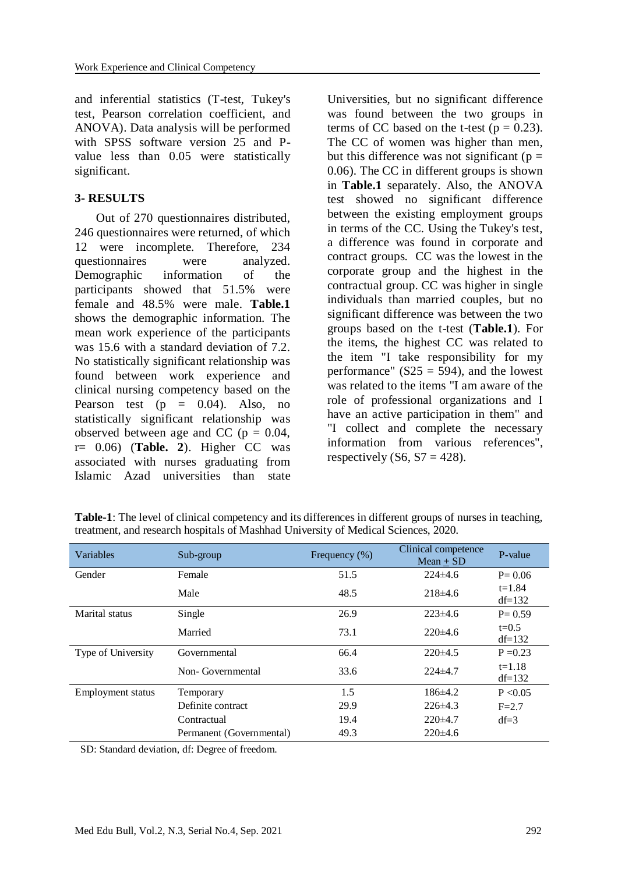and inferential statistics (T-test, Tukey's test, Pearson correlation coefficient, and ANOVA). Data analysis will be performed with SPSS software version 25 and Pvalue less than 0.05 were statistically significant.

# **3- RESULTS**

 Out of 270 questionnaires distributed, 246 questionnaires were returned, of which 12 were incomplete. Therefore, 234 questionnaires were analyzed. Demographic information of the participants showed that 51.5% were female and 48.5% were male. **Table.1** shows the demographic information. The mean work experience of the participants was 15.6 with a standard deviation of 7.2. No statistically significant relationship was found between work experience and clinical nursing competency based on the Pearson test  $(p = 0.04)$ . Also, no statistically significant relationship was observed between age and CC ( $p = 0.04$ , r= 0.06) (**Table. 2**). Higher CC was associated with nurses graduating from Islamic Azad universities than state Universities, but no significant difference was found between the two groups in terms of CC based on the t-test ( $p = 0.23$ ). The CC of women was higher than men, but this difference was not significant ( $p =$ 0.06). The CC in different groups is shown in **Table.1** separately. Also, the ANOVA test showed no significant difference between the existing employment groups in terms of the CC. Using the Tukey's test, a difference was found in corporate and contract groups. CC was the lowest in the corporate group and the highest in the contractual group. CC was higher in single individuals than married couples, but no significant difference was between the two groups based on the t-test (**Table.1**). For the items, the highest CC was related to the item "I take responsibility for my performance"  $(S25 = 594)$ , and the lowest was related to the items "I am aware of the role of professional organizations and I have an active participation in them" and "I collect and complete the necessary information from various references", respectively  $(S6, S7 = 428)$ .

| Variables                | Sub-group                | Frequency $(\%)$ | Clinical competence<br>$Mean + SD$ | P-value                |
|--------------------------|--------------------------|------------------|------------------------------------|------------------------|
| Gender                   | Female                   | 51.5             | $224\pm4.6$                        | $P = 0.06$             |
|                          | Male                     | 48.5             | $218\pm4.6$                        | $t = 1.84$<br>$df=132$ |
| Marital status           | Single                   | 26.9             | $223\pm4.6$                        | $P = 0.59$             |
|                          | Married                  | 73.1             | $220\pm4.6$                        | $t=0.5$<br>$df=132$    |
| Type of University       | Governmental             | 66.4             | $220\pm 4.5$                       | $P = 0.23$             |
|                          | Non-Governmental         | 33.6             | $224\pm 4.7$                       | $t = 1.18$<br>$df=132$ |
| <b>Employment status</b> | Temporary                | 1.5              | $186\pm4.2$                        | P < 0.05               |
|                          | Definite contract        | 29.9             | $226\pm4.3$                        | $F = 2.7$              |
|                          | Contractual              | 19.4             | $220\pm4.7$                        | $df=3$                 |
|                          | Permanent (Governmental) | 49.3             | $220\pm4.6$                        |                        |

**Table-1**: The level of clinical competency and its differences in different groups of nurses in teaching, treatment, and research hospitals of Mashhad University of Medical Sciences, 2020.

SD: Standard deviation, df: Degree of freedom.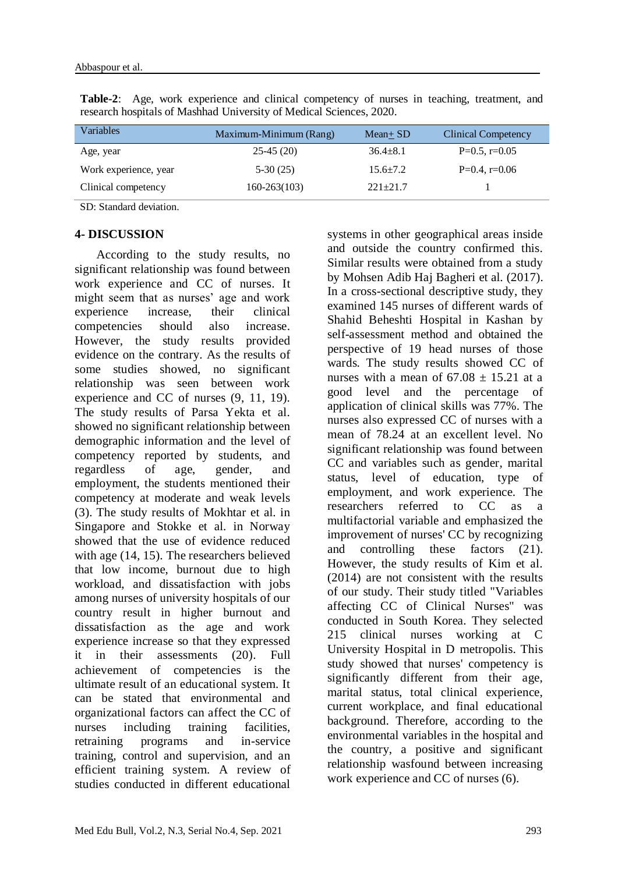| Variables             | Maximum-Minimum (Rang) | $Mean + SD$    | Clinical Competency |
|-----------------------|------------------------|----------------|---------------------|
| Age, year             | $25-45(20)$            | $36.4 + 8.1$   | $P=0.5$ , r=0.05    |
| Work experience, year | $5-30(25)$             | $15.6 \pm 7.2$ | $P=0.4$ , r=0.06    |
| Clinical competency   | $160 - 263(103)$       | $221 + 21.7$   |                     |

**Table-2**: Age, work experience and clinical competency of nurses in teaching, treatment, and research hospitals of Mashhad University of Medical Sciences, 2020.

SD: Standard deviation.

## **4- DISCUSSION**

 According to the study results, no significant relationship was found between work experience and CC of nurses. It might seem that as nurses' age and work experience increase, their clinical competencies should also increase. However, the study results provided evidence on the contrary. As the results of some studies showed, no significant relationship was seen between work experience and CC of nurses (9, 11, 19). The study results of Parsa Yekta et al. showed no significant relationship between demographic information and the level of competency reported by students, and regardless of age, gender, and employment, the students mentioned their competency at moderate and weak levels (3). The study results of Mokhtar et al. in Singapore and Stokke et al. in Norway showed that the use of evidence reduced with age (14, 15). The researchers believed that low income, burnout due to high workload, and dissatisfaction with jobs among nurses of university hospitals of our country result in higher burnout and dissatisfaction as the age and work experience increase so that they expressed it in their assessments (20). Full achievement of competencies is the ultimate result of an educational system. It can be stated that environmental and organizational factors can affect the CC of nurses including training facilities, retraining programs and in-service training, control and supervision, and an efficient training system. A review of studies conducted in different educational systems in other geographical areas inside and outside the country confirmed this. Similar results were obtained from a study by Mohsen Adib Haj Bagheri et al. (2017). In a cross-sectional descriptive study, they examined 145 nurses of different wards of Shahid Beheshti Hospital in Kashan by self-assessment method and obtained the perspective of 19 head nurses of those wards. The study results showed CC of nurses with a mean of  $67.08 \pm 15.21$  at a good level and the percentage of application of clinical skills was 77%. The nurses also expressed CC of nurses with a mean of 78.24 at an excellent level. No significant relationship was found between CC and variables such as gender, marital status, level of education, type of employment, and work experience. The researchers referred to CC as a multifactorial variable and emphasized the improvement of nurses' CC by recognizing and controlling these factors (21). However, the study results of Kim et al. (2014) are not consistent with the results of our study. Their study titled "Variables affecting CC of Clinical Nurses" was conducted in South Korea. They selected 215 clinical nurses working at C University Hospital in D metropolis. This study showed that nurses' competency is significantly different from their age, marital status, total clinical experience, current workplace, and final educational background. Therefore, according to the environmental variables in the hospital and the country, a positive and significant relationship wasfound between increasing work experience and CC of nurses (6).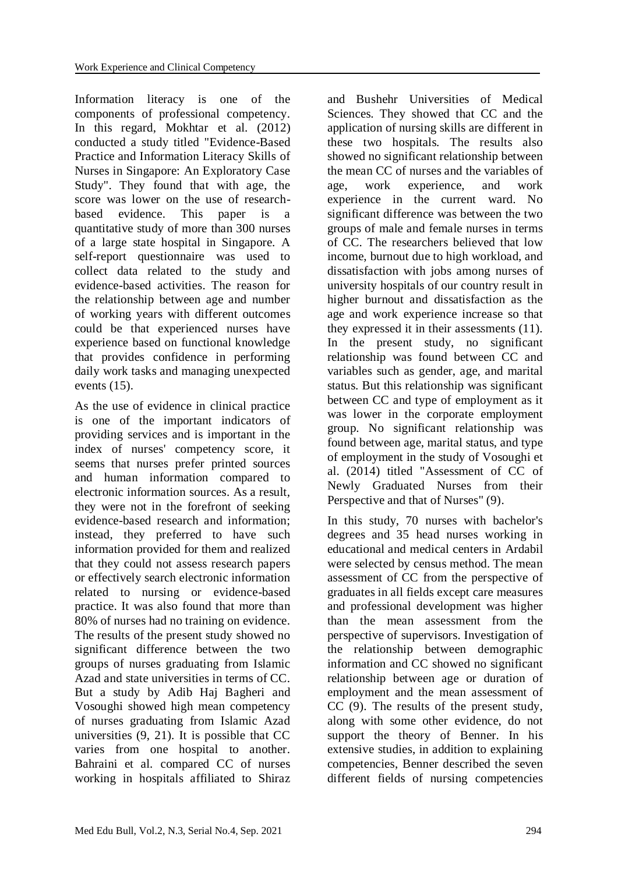Information literacy is one of the components of professional competency. In this regard, Mokhtar et al. (2012) conducted a study titled "Evidence-Based Practice and Information Literacy Skills of Nurses in Singapore: An Exploratory Case Study". They found that with age, the score was lower on the use of researchbased evidence. This paper is a quantitative study of more than 300 nurses of a large state hospital in Singapore. A self-report questionnaire was used to collect data related to the study and evidence-based activities. The reason for the relationship between age and number of working years with different outcomes could be that experienced nurses have experience based on functional knowledge that provides confidence in performing daily work tasks and managing unexpected events (15).

As the use of evidence in clinical practice is one of the important indicators of providing services and is important in the index of nurses' competency score, it seems that nurses prefer printed sources and human information compared to electronic information sources. As a result, they were not in the forefront of seeking evidence-based research and information; instead, they preferred to have such information provided for them and realized that they could not assess research papers or effectively search electronic information related to nursing or evidence-based practice. It was also found that more than 80% of nurses had no training on evidence. The results of the present study showed no significant difference between the two groups of nurses graduating from Islamic Azad and state universities in terms of CC. But a study by Adib Haj Bagheri and Vosoughi showed high mean competency of nurses graduating from Islamic Azad universities (9, 21). It is possible that CC varies from one hospital to another. Bahraini et al. compared CC of nurses working in hospitals affiliated to Shiraz and Bushehr Universities of Medical Sciences. They showed that CC and the application of nursing skills are different in these two hospitals. The results also showed no significant relationship between the mean CC of nurses and the variables of age, work experience, and work experience in the current ward. No significant difference was between the two groups of male and female nurses in terms of CC. The researchers believed that low income, burnout due to high workload, and dissatisfaction with jobs among nurses of university hospitals of our country result in higher burnout and dissatisfaction as the age and work experience increase so that they expressed it in their assessments (11). In the present study, no significant relationship was found between CC and variables such as gender, age, and marital status. But this relationship was significant between CC and type of employment as it was lower in the corporate employment group. No significant relationship was found between age, marital status, and type of employment in the study of Vosoughi et al. (2014) titled "Assessment of CC of Newly Graduated Nurses from their Perspective and that of Nurses" (9).

In this study, 70 nurses with bachelor's degrees and 35 head nurses working in educational and medical centers in Ardabil were selected by census method. The mean assessment of CC from the perspective of graduates in all fields except care measures and professional development was higher than the mean assessment from the perspective of supervisors. Investigation of the relationship between demographic information and CC showed no significant relationship between age or duration of employment and the mean assessment of CC (9). The results of the present study, along with some other evidence, do not support the theory of Benner. In his extensive studies, in addition to explaining competencies, Benner described the seven different fields of nursing competencies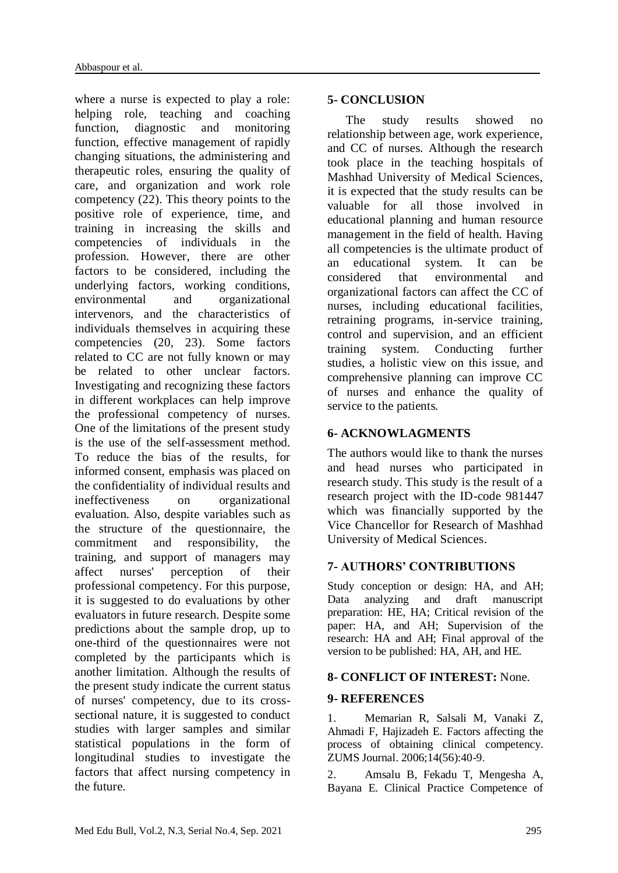where a nurse is expected to play a role: helping role, teaching and coaching function, diagnostic and monitoring function, effective management of rapidly changing situations, the administering and therapeutic roles, ensuring the quality of care, and organization and work role competency (22). This theory points to the positive role of experience, time, and training in increasing the skills and competencies of individuals in the profession. However, there are other factors to be considered, including the underlying factors, working conditions, environmental and organizational intervenors, and the characteristics of individuals themselves in acquiring these competencies (20, 23). Some factors related to CC are not fully known or may be related to other unclear factors. Investigating and recognizing these factors in different workplaces can help improve the professional competency of nurses. One of the limitations of the present study is the use of the self-assessment method. To reduce the bias of the results, for informed consent, emphasis was placed on the confidentiality of individual results and ineffectiveness on organizational evaluation. Also, despite variables such as the structure of the questionnaire, the commitment and responsibility, the training, and support of managers may affect nurses' perception of their professional competency. For this purpose, it is suggested to do evaluations by other evaluators in future research. Despite some predictions about the sample drop, up to one-third of the questionnaires were not completed by the participants which is another limitation. Although the results of the present study indicate the current status of nurses' competency, due to its crosssectional nature, it is suggested to conduct studies with larger samples and similar statistical populations in the form of longitudinal studies to investigate the factors that affect nursing competency in the future.

#### **5- CONCLUSION**

 The study results showed no relationship between age, work experience, and CC of nurses. Although the research took place in the teaching hospitals of Mashhad University of Medical Sciences, it is expected that the study results can be valuable for all those involved in educational planning and human resource management in the field of health. Having all competencies is the ultimate product of an educational system. It can be considered that environmental and organizational factors can affect the CC of nurses, including educational facilities, retraining programs, in-service training, control and supervision, and an efficient training system. Conducting further studies, a holistic view on this issue, and comprehensive planning can improve CC of nurses and enhance the quality of service to the patients.

## **6- ACKNOWLAGMENTS**

The authors would like to thank the nurses and head nurses who participated in research study. This study is the result of a research project with the ID-code 981447 which was financially supported by the Vice Chancellor for Research of Mashhad University of Medical Sciences.

## **7- AUTHORS' CONTRIBUTIONS**

Study conception or design: HA, and AH; Data analyzing and draft manuscript preparation: HE, HA; Critical revision of the paper: HA, and AH; Supervision of the research: HA and AH; Final approval of the version to be published: HA, AH, and HE.

## **8- CONFLICT OF INTEREST:** None.

#### **9- REFERENCES**

1. Memarian R, Salsali M, Vanaki Z, Ahmadi F, Hajizadeh E. Factors affecting the process of obtaining clinical competency. ZUMS Journal. 2006;14(56):40-9.

2. Amsalu B, Fekadu T, Mengesha A, Bayana E. Clinical Practice Competence of